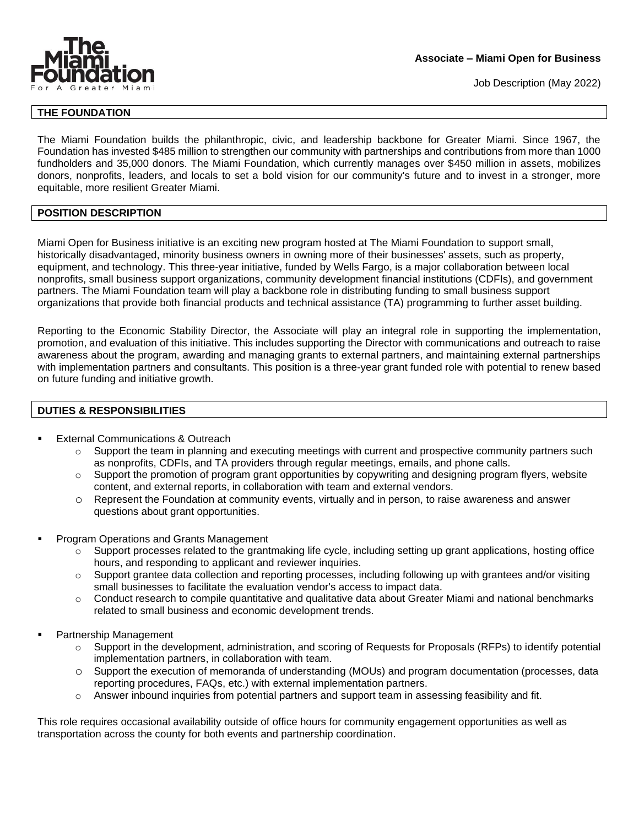

Job Description (May 2022)

# **THE FOUNDATION**

The Miami Foundation builds the philanthropic, civic, and leadership backbone for Greater Miami. Since 1967, the Foundation has invested \$485 million to strengthen our community with partnerships and contributions from more than 1000 fundholders and 35,000 donors. The Miami Foundation, which currently manages over \$450 million in assets, mobilizes donors, nonprofits, leaders, and locals to set a bold vision for our community's future and to invest in a stronger, more equitable, more resilient Greater Miami.

## **POSITION DESCRIPTION**

Miami Open for Business initiative is an exciting new program hosted at The Miami Foundation to support small, historically disadvantaged, minority business owners in owning more of their businesses' assets, such as property, equipment, and technology. This three-year initiative, funded by Wells Fargo, is a major collaboration between local nonprofits, small business support organizations, community development financial institutions (CDFIs), and government partners. The Miami Foundation team will play a backbone role in distributing funding to small business support organizations that provide both financial products and technical assistance (TA) programming to further asset building.

Reporting to the Economic Stability Director, the Associate will play an integral role in supporting the implementation, promotion, and evaluation of this initiative. This includes supporting the Director with communications and outreach to raise awareness about the program, awarding and managing grants to external partners, and maintaining external partnerships with implementation partners and consultants. This position is a three-year grant funded role with potential to renew based on future funding and initiative growth.

# **DUTIES & RESPONSIBILITIES**

- **External Communications & Outreach** 
	- $\circ$  Support the team in planning and executing meetings with current and prospective community partners such as nonprofits, CDFIs, and TA providers through regular meetings, emails, and phone calls.
	- o Support the promotion of program grant opportunities by copywriting and designing program flyers, website content, and external reports, in collaboration with team and external vendors.
	- o Represent the Foundation at community events, virtually and in person, to raise awareness and answer questions about grant opportunities.
- Program Operations and Grants Management
	- $\circ$  Support processes related to the grantmaking life cycle, including setting up grant applications, hosting office hours, and responding to applicant and reviewer inquiries.
	- $\circ$  Support grantee data collection and reporting processes, including following up with grantees and/or visiting small businesses to facilitate the evaluation vendor's access to impact data.
	- $\circ$  Conduct research to compile quantitative and qualitative data about Greater Miami and national benchmarks related to small business and economic development trends.
- Partnership Management
	- Support in the development, administration, and scoring of Requests for Proposals (RFPs) to identify potential implementation partners, in collaboration with team.
	- o Support the execution of memoranda of understanding (MOUs) and program documentation (processes, data reporting procedures, FAQs, etc.) with external implementation partners.
	- $\circ$  Answer inbound inquiries from potential partners and support team in assessing feasibility and fit.

This role requires occasional availability outside of office hours for community engagement opportunities as well as transportation across the county for both events and partnership coordination.